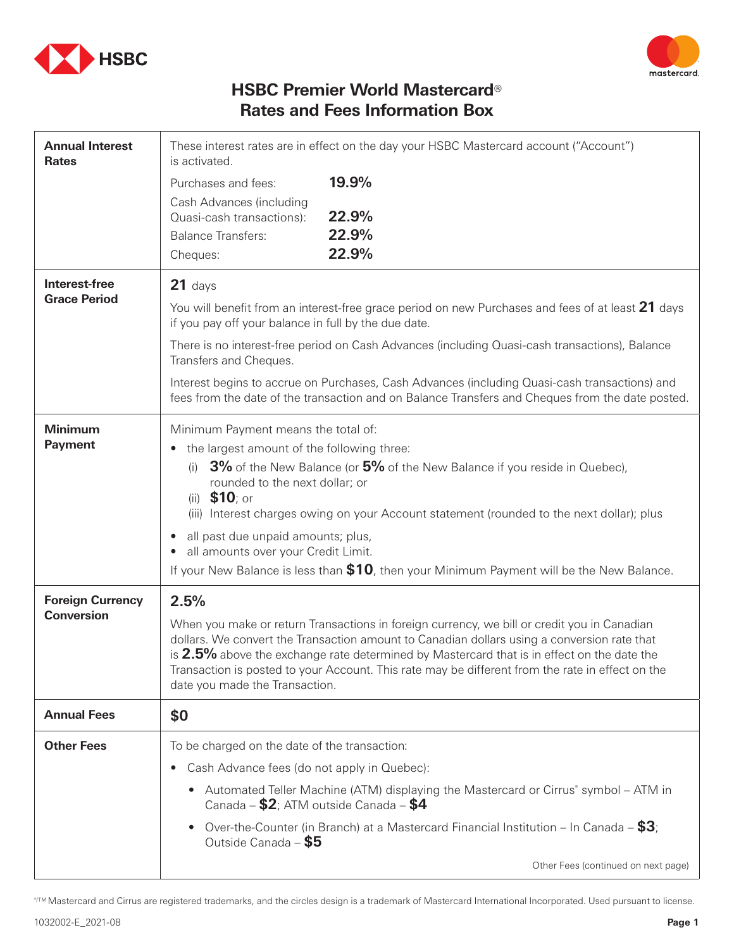



## **HSBC Premier World Mastercard**® **Rates and Fees Information Box**

| <b>Annual Interest</b><br><b>Rates</b>       | These interest rates are in effect on the day your HSBC Mastercard account ("Account")<br>is activated.                                                                                                                                                                                                                                                                                                                                                                                                                                 |                                                                                                                                                                                           |  |
|----------------------------------------------|-----------------------------------------------------------------------------------------------------------------------------------------------------------------------------------------------------------------------------------------------------------------------------------------------------------------------------------------------------------------------------------------------------------------------------------------------------------------------------------------------------------------------------------------|-------------------------------------------------------------------------------------------------------------------------------------------------------------------------------------------|--|
|                                              | Purchases and fees:<br>Cash Advances (including<br>Quasi-cash transactions):<br><b>Balance Transfers:</b><br>Cheques:                                                                                                                                                                                                                                                                                                                                                                                                                   | 19.9%<br>22.9%<br>22.9%<br>22.9%                                                                                                                                                          |  |
| Interest-free<br><b>Grace Period</b>         | $21$ days<br>You will benefit from an interest-free grace period on new Purchases and fees of at least 21 days<br>if you pay off your balance in full by the due date.                                                                                                                                                                                                                                                                                                                                                                  |                                                                                                                                                                                           |  |
|                                              | There is no interest-free period on Cash Advances (including Quasi-cash transactions), Balance<br>Transfers and Cheques.                                                                                                                                                                                                                                                                                                                                                                                                                |                                                                                                                                                                                           |  |
|                                              | Interest begins to accrue on Purchases, Cash Advances (including Quasi-cash transactions) and<br>fees from the date of the transaction and on Balance Transfers and Cheques from the date posted.                                                                                                                                                                                                                                                                                                                                       |                                                                                                                                                                                           |  |
| <b>Minimum</b><br><b>Payment</b>             | Minimum Payment means the total of:<br>the largest amount of the following three:<br>$\bullet$<br>3% of the New Balance (or 5% of the New Balance if you reside in Quebec),<br>(i)<br>rounded to the next dollar; or<br>(ii) $$10;$ or<br>(iii) Interest charges owing on your Account statement (rounded to the next dollar); plus<br>all past due unpaid amounts; plus,<br>$\bullet$<br>all amounts over your Credit Limit.<br>$\bullet$<br>If your New Balance is less than \$10, then your Minimum Payment will be the New Balance. |                                                                                                                                                                                           |  |
| <b>Foreign Currency</b><br><b>Conversion</b> | 2.5%<br>When you make or return Transactions in foreign currency, we bill or credit you in Canadian<br>dollars. We convert the Transaction amount to Canadian dollars using a conversion rate that<br>is 2.5% above the exchange rate determined by Mastercard that is in effect on the date the<br>Transaction is posted to your Account. This rate may be different from the rate in effect on the<br>date you made the Transaction.                                                                                                  |                                                                                                                                                                                           |  |
| <b>Annual Fees</b>                           | \$0                                                                                                                                                                                                                                                                                                                                                                                                                                                                                                                                     |                                                                                                                                                                                           |  |
| <b>Other Fees</b>                            | To be charged on the date of the transaction:<br>Cash Advance fees (do not apply in Quebec):<br>$\bullet$<br>$\bullet$<br>Canada - \$2; ATM outside Canada - \$4<br>$\bullet$<br>Outside Canada - \$5                                                                                                                                                                                                                                                                                                                                   | Automated Teller Machine (ATM) displaying the Mastercard or Cirrus <sup>®</sup> symbol – ATM in<br>Over-the-Counter (in Branch) at a Mastercard Financial Institution – In Canada – $$3;$ |  |
|                                              |                                                                                                                                                                                                                                                                                                                                                                                                                                                                                                                                         | Other Fees (continued on next page)                                                                                                                                                       |  |

®/TM Mastercard and Cirrus are registered trademarks, and the circles design is a trademark of Mastercard International Incorporated. Used pursuant to license.